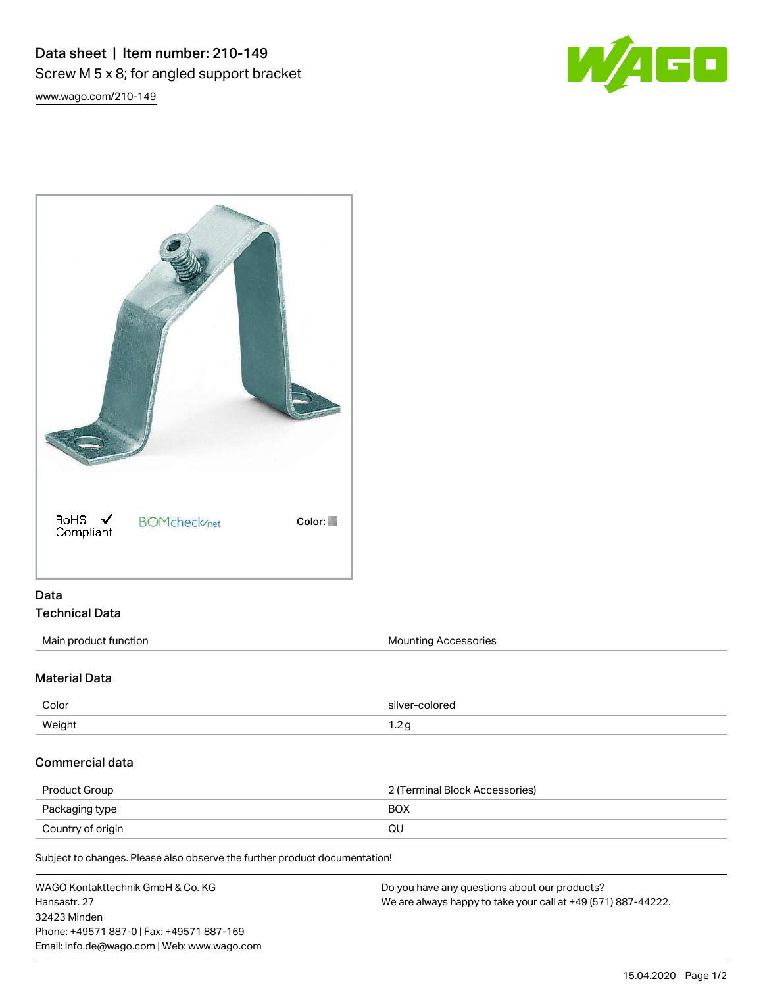## Data sheet | Item number: 210-149 Screw M 5 x 8; for angled support bracket

W/AGO

[www.wago.com/210-149](http://www.wago.com/210-149)



## Data Technical Data

Main product function **Mounting Accessories** Mounting Accessories

## Material Data

| Color  | olorec<br>silver:   |
|--------|---------------------|
| Weight | -<br>ں ے ، ا<br>- - |

## Commercial data

| Product Group     | 2 (Terminal Block Accessories) |  |
|-------------------|--------------------------------|--|
| Packaging type    | BOX                            |  |
| Country of origin | QU                             |  |

Subject to changes. Please also observe the further product documentation!

WAGO Kontakttechnik GmbH & Co. KG Hansastr. 27 32423 Minden Phone: +49571 887-0 | Fax: +49571 887-169 Email: info.de@wago.com | Web: www.wago.com Do you have any questions about our products? We are always happy to take your call at +49 (571) 887-44222.